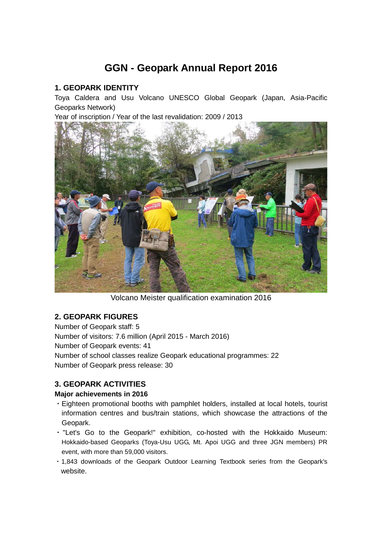# **GGN - Geopark Annual Report 2016**

## **1. GEOPARK IDENTITY**

Toya Caldera and Usu Volcano UNESCO Global Geopark (Japan, Asia-Pacific Geoparks Network)

Year of inscription / Year of the last revalidation: 2009 / 2013



Volcano Meister qualification examination 2016

## **2. GEOPARK FIGURES**

Number of Geopark staff: 5 Number of visitors: 7.6 million (April 2015 - March 2016) Number of Geopark events: 41 Number of school classes realize Geopark educational programmes: 22 Number of Geopark press release: 30

# **3. GEOPARK ACTIVITIES**

#### **Major achievements in 2016**

- ・Eighteen promotional booths with pamphlet holders, installed at local hotels, tourist information centres and bus/train stations, which showcase the attractions of the Geopark.
- ・"Let's Go to the Geopark!" exhibition, co-hosted with the Hokkaido Museum: Hokkaido-based Geoparks (Toya-Usu UGG, Mt. Apoi UGG and three JGN members) PR event, with more than 59,000 visitors.
- ・1,843 downloads of the Geopark Outdoor Learning Textbook series from the Geopark's website.